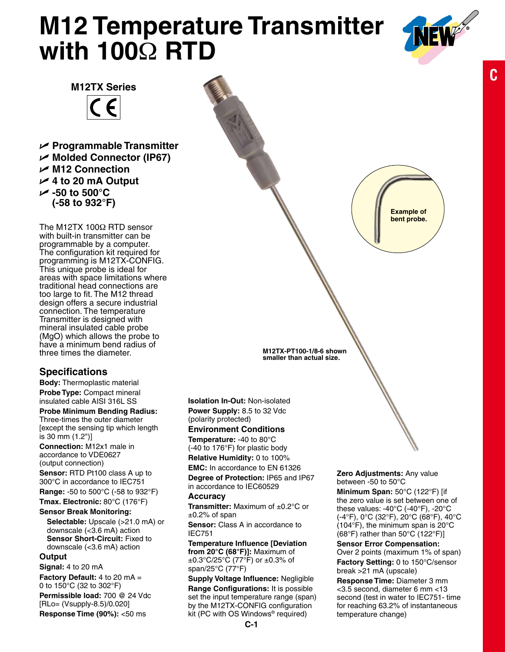# **M12 Temperature Transmitter with 100**Ω **RTD**



**Example of bent probe.** **C**

**M12TX Series**  $\epsilon$ 

U **Programmable Transmitter** U **Molded Connector (IP67)** U **M12 Connection** U **4 to 20 mA Output** U **-50 to 500°C (-58 to 932°F)**

The M12TX 100Ω RTD sensor with built-in transmitter can be programmable by a computer. The configuration kit required for programming is M12TX-CONFIG. This unique probe is ideal for areas with space limitations where traditional head connections are too large to fit. The M12 thread design offers a secure industrial connection. The temperature Transmitter is designed with mineral insulated cable probe (MgO) which allows the probe to have a minimum bend radius of three times the diameter.

# **Specifications**

**Body:** Thermoplastic material **Probe Type:** Compact mineral insulated cable AISI 316L SS

### **Probe Minimum Bending Radius:**

Three-times the outer diameter [except the sensing tip which length is 30 mm (1.2")]

**Connection:** M12x1 male in accordance to VDE0627 (output connection)

**Sensor:** RTD Pt100 class A up to 300°C in accordance to IEC751

**Range:** -50 to 500°C (-58 to 932°F) **Tmax. Electronic:** 80°C (176°F)

# **Sensor Break Monitoring:**

**Selectable:** Upscale (>21.0 mA) or downscale (<3.6 mA) action **Sensor Short-Circuit:** Fixed to downscale (<3.6 mA) action

#### **Output**

**Signal:** 4 to 20 mA

**Factory Default:** 4 to 20 mA = 0 to 150°C (32 to 302°F)

**Permissible load:** 700 @ 24 Vdc [RLo= (Vsupply-8.5)/0.020] **Response Time (90%): <50 ms** 

**Isolation In-Out:** Non-isolated **Power Supply:** 8.5 to 32 Vdc (polarity protected)

**M12TX-PT100-1/8-6 shown smaller than actual size.**

#### **Environment Conditions Temperature:** -40 to 80°C

(-40 to 176°F) for plastic body **Relative Humidity:** 0 to 100%

**EMC:** In accordance to EN 61326

**Degree of Protection:** IP65 and IP67 in accordance to IEC60529

#### **Accuracy**

**Transmitter:** Maximum of ±0.2°C or  $±0.2%$  of span

**Sensor:** Class A in accordance to IEC751

**Temperature Influence [Deviation from 20°C (68°F)]:** Maximum of  $\pm 0.3^{\circ}$ C/25°C (77°F) or  $\pm 0.3$ % of span/25°C (77°F)

**Supply Voltage Influence:** Negligible

**Range Configurations:** It is possible set the input temperature range (span) by the M12TX-CONFIG configuration kit (PC with OS Windows® required)

**Zero Adjustments:** Any value between -50 to 50°C

**Minimum Span:** 50°C (122°F) [if the zero value is set between one of these values: -40°C (-40°F), -20°C (-4°F), 0°C (32°F), 20°C (68°F), 40°C (104°F), the minimum span is 20°C (68°F) rather than 50°C (122°F)]

**Sensor Error Compensation:** Over 2 points (maximum 1% of span) **Factory Setting:** 0 to 150°C/sensor break >21 mA (upscale)

**Response Time:** Diameter 3 mm <3.5 second, diameter 6 mm <13 second (test in water to IEC751- time for reaching 63.2% of instantaneous temperature change)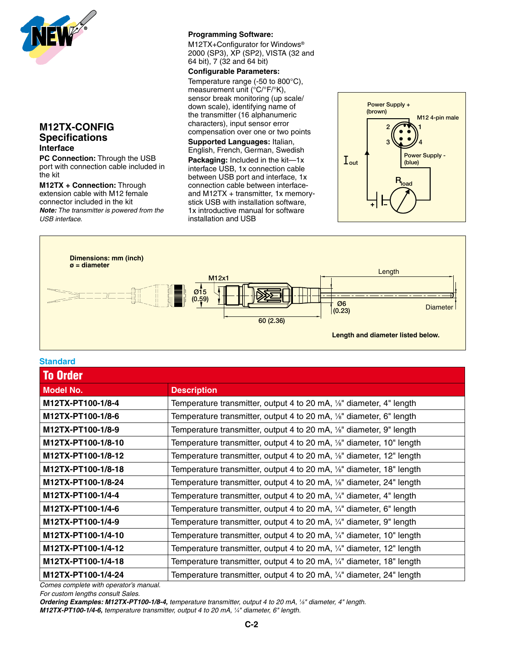

# **M12TX-CONFIG Specifications Interface**

**PC Connection:** Through the USB port with connection cable included in the kit

**M12TX + Connection:** Through extension cable with M12 female connector included in the kit *Note: The transmitter is powered from the USB interface.*

#### **Programming Software:**

M12TX+Configurator for Windows® 2000 (SP3), XP (SP2), VISTA (32 and 64 bit), 7 (32 and 64 bit)

#### **Configurable Parameters:**

Temperature range (-50 to 800°C), measurement unit (°C/°F/°K), sensor break monitoring (up scale/ ounce, wreak memisining (up coale),<br>down scale), identifying name of the transmitter (16 alphanumeric characters), input sensor error compensation over one or two points 3 4

**Supported Languages:** Italian, English, French, German, Swedish

**Packaging:** Included in the kit—1x interface USB, 1x connection cable between USB port and interface, 1x connection cable between interfaceand M12TX + transmitter, 1x memorystick USB with installation software, 1x introductive manual for software installation and USB





#### **Standard**

| <b>To Order</b>    |                                                                                    |
|--------------------|------------------------------------------------------------------------------------|
| <b>Model No.</b>   | <b>Description</b>                                                                 |
| M12TX-PT100-1/8-4  | Temperature transmitter, output 4 to 20 mA, 1/8" diameter, 4" length               |
| M12TX-PT100-1/8-6  | Temperature transmitter, output 4 to 20 mA, 1/8" diameter, 6" length               |
| M12TX-PT100-1/8-9  | Temperature transmitter, output 4 to 20 mA, 1/8" diameter, 9" length               |
| M12TX-PT100-1/8-10 | Temperature transmitter, output 4 to 20 mA, 1/ <sub>8</sub> " diameter, 10" length |
| M12TX-PT100-1/8-12 | Temperature transmitter, output 4 to 20 mA, 1/ <sub>8</sub> " diameter, 12" length |
| M12TX-PT100-1/8-18 | Temperature transmitter, output 4 to 20 mA, 1/ <sub>8</sub> " diameter, 18" length |
| M12TX-PT100-1/8-24 | Temperature transmitter, output 4 to 20 mA, 1/ <sub>8</sub> " diameter, 24" length |
| M12TX-PT100-1/4-4  | Temperature transmitter, output 4 to 20 mA, $\frac{1}{4}$ " diameter, 4" length    |
| M12TX-PT100-1/4-6  | Temperature transmitter, output 4 to 20 mA, $\frac{1}{4}$ " diameter, 6" length    |
| M12TX-PT100-1/4-9  | Temperature transmitter, output 4 to 20 mA, 1/4" diameter, 9" length               |
| M12TX-PT100-1/4-10 | Temperature transmitter, output 4 to 20 mA, 1/4" diameter, 10" length              |
| M12TX-PT100-1/4-12 | Temperature transmitter, output 4 to 20 mA, 1/4" diameter, 12" length              |
| M12TX-PT100-1/4-18 | Temperature transmitter, output 4 to 20 mA, $\frac{1}{4}$ " diameter, 18" length   |
| M12TX-PT100-1/4-24 | Temperature transmitter, output 4 to 20 mA, 1/4" diameter, 24" length              |

*Comes complete with operator's manual.*

*For custom lengths consult Sales.*

*Ordering Examples: M12TX-PT100-1/8-4, temperature transmitter, output 4 to 20 mA, 1 ⁄8" diameter, 4" length. M12TX-PT100-1/4-6, temperature transmitter, output 4 to 20 mA, 1 ⁄4" diameter, 6" length.*